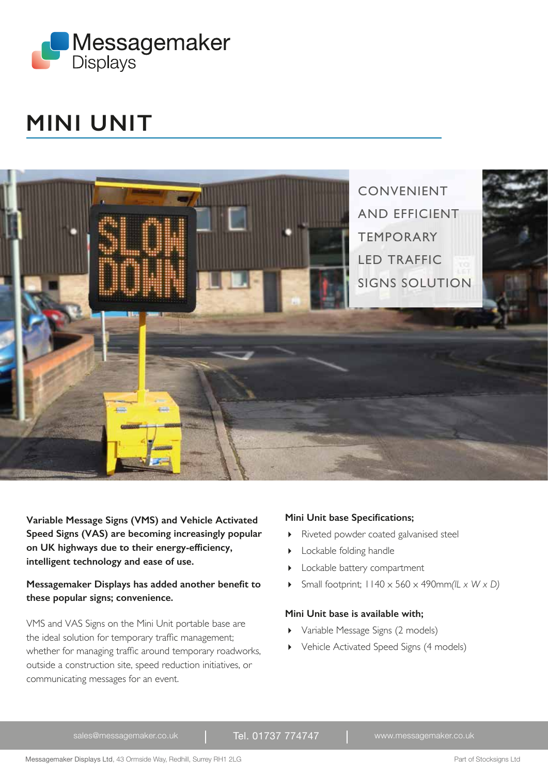

# **MINI UNIT**



**Variable Message Signs (VMS) and Vehicle Activated Speed Signs (VAS) are becoming increasingly popular on UK highways due to their energy-efficiency, intelligent technology and ease of use.** 

### **Messagemaker Displays has added another benefit to these popular signs; convenience.**

VMS and VAS Signs on the Mini Unit portable base are the ideal solution for temporary traffic management; whether for managing traffic around temporary roadworks, outside a construction site, speed reduction initiatives, or communicating messages for an event.

### **Mini Unit base Specifications;**

- Riveted powder coated galvanised steel
- **Lockable folding handle**
- Lockable battery compartment
- $\triangleright$  Small footprint;  $1140 \times 560 \times 490$ mm *(IL x W x D)*

### **Mini Unit base is available with;**

- Variable Message Signs (2 models)
- Vehicle Activated Speed Signs (4 models)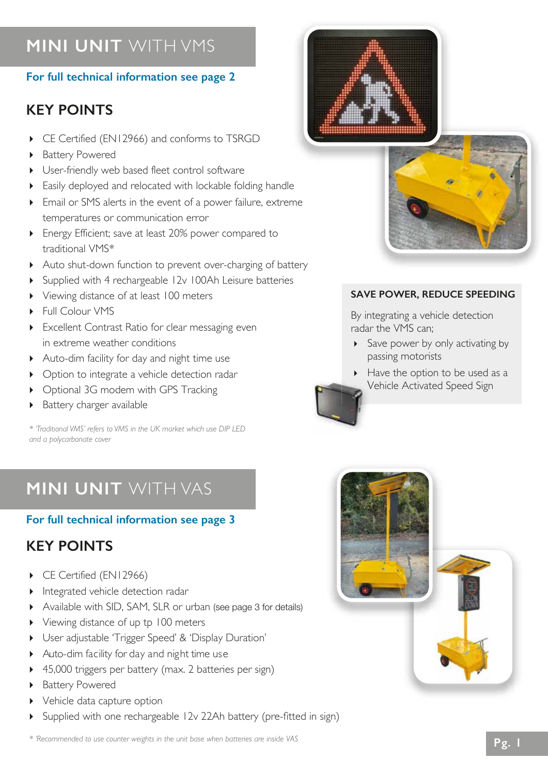# **MINI UNIT** WITH VMS

## **For full technical information see page 2**

## **KEY POINTS**

- ▶ CE Certified (EN12966) and conforms to TSRGD
- ▶ Battery Powered
- User-friendly web based fleet control software
- Easily deployed and relocated with lockable folding handle
- Email or SMS alerts in the event of a power failure, extreme temperatures or communication error
- Energy Efficient; save at least 20% power compared to traditional VMS\*
- Auto shut-down function to prevent over-charging of battery
- Supplied with 4 rechargeable 12v 100Ah Leisure batteries
- Viewing distance of at least 100 meters
- ▶ Full Colour VMS
- Excellent Contrast Ratio for clear messaging even in extreme weather conditions
- Auto-dim facility for day and night time use
- Option to integrate a vehicle detection radar
- ▶ Optional 3G modem with GPS Tracking
- Battery charger available

*\* 'Traditional VMS' refers to VMS in the UK market which use DIP LED and a polycarbonate cover*

# **MINI UNIT** WITH VAS

## **For full technical information see page 3**

## **KEY POINTS**

- CE Certified (EN12966)
- Integrated vehicle detection radar
- Available with SID, SAM, SLR or urban (see page 3 for details)
- Viewing distance of up tp 100 meters
- User adjustable 'Trigger Speed' & 'Display Duration'
- Auto-dim facility for day and night time use
- ▶ 45,000 triggers per battery (max. 2 batteries per sign)
- Battery Powered
- Vehicle data capture option
- Supplied with one rechargeable 12v 22Ah battery (pre-fitted in sign)





## **SAVE POWER, REDUCE SPEEDING**

By integrating a vehicle detection radar the VMS can;

- Save power by only activating by passing motorists
- Have the option to be used as a Vehicle Activated Speed Sign

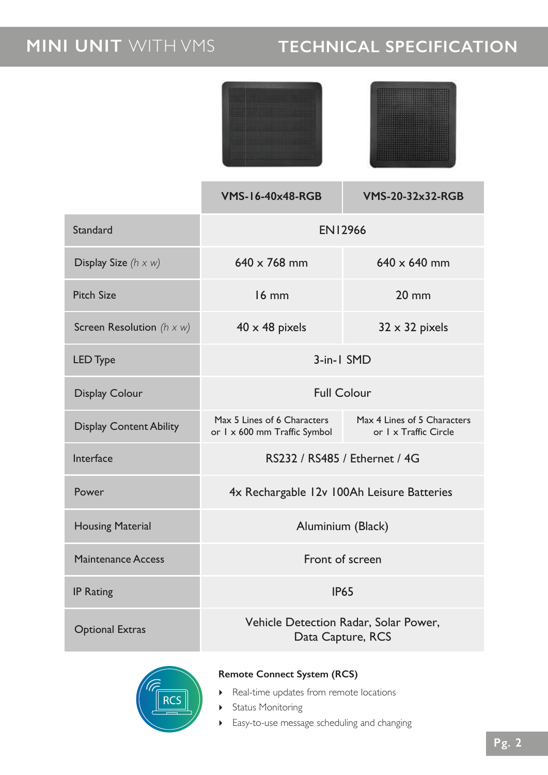# **MINI UNIT** WITH VMS **TECHNICAL SPECIFICATION**

|                                  | <b>VMS-16-40x48-RGB</b>                                                                                             | <b>VMS-20-32x32-RGB</b> |  |  |  |
|----------------------------------|---------------------------------------------------------------------------------------------------------------------|-------------------------|--|--|--|
| <b>Standard</b>                  | <b>EN12966</b>                                                                                                      |                         |  |  |  |
| Display Size $(h \times w)$      | 640 x 768 mm                                                                                                        | $640 \times 640$ mm     |  |  |  |
| <b>Pitch Size</b>                | $16$ mm                                                                                                             | $20 \text{ mm}$         |  |  |  |
| Screen Resolution $(h \times w)$ | $40 \times 48$ pixels                                                                                               | $32 \times 32$ pixels   |  |  |  |
| <b>LED Type</b>                  | 3-in-1 SMD                                                                                                          |                         |  |  |  |
| <b>Display Colour</b>            | <b>Full Colour</b>                                                                                                  |                         |  |  |  |
| <b>Display Content Ability</b>   | Max 5 Lines of 6 Characters<br>Max 4 Lines of 5 Characters<br>or I x Traffic Circle<br>or 1 x 600 mm Traffic Symbol |                         |  |  |  |
| Interface                        | RS232 / RS485 / Ethernet / 4G                                                                                       |                         |  |  |  |
| Power                            | 4x Rechargable 12v 100Ah Leisure Batteries                                                                          |                         |  |  |  |
| <b>Housing Material</b>          | Aluminium (Black)                                                                                                   |                         |  |  |  |
| <b>Maintenance Access</b>        | Front of screen                                                                                                     |                         |  |  |  |
| <b>IP Rating</b>                 | <b>IP65</b>                                                                                                         |                         |  |  |  |
| <b>Optional Extras</b>           | Vehicle Detection Radar, Solar Power,<br>Data Capture, RCS                                                          |                         |  |  |  |



## **Remote Connect System (RCS)**

- Real-time updates from remote locations
- **>** Status Monitoring
- Easy-to-use message scheduling and changing